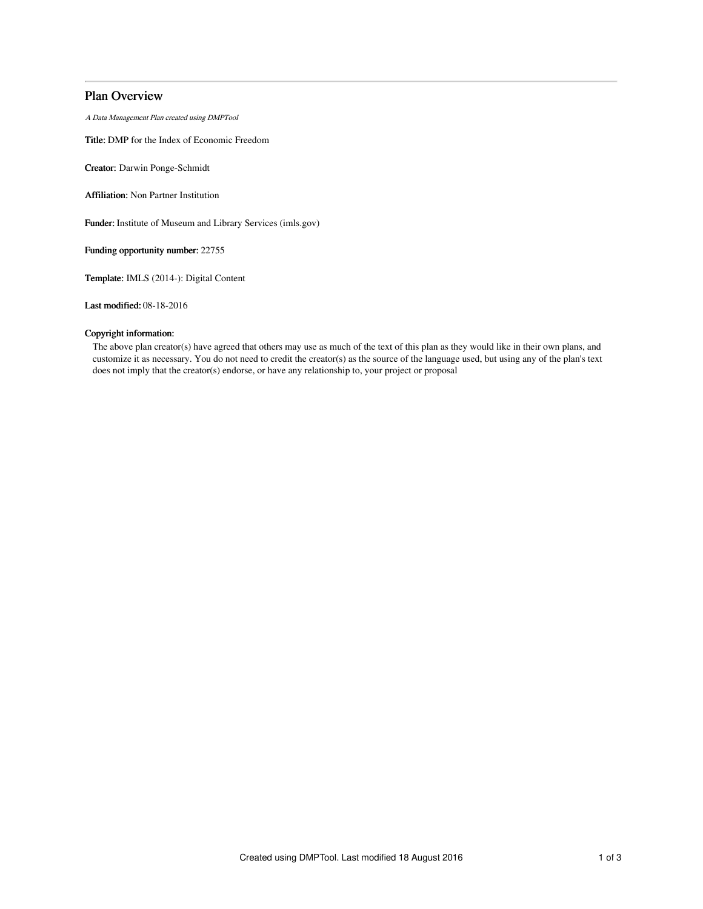# Plan Overview

A Data Management Plan created using DMPTool

Title: DMP for the Index of Economic Freedom

Creator: Darwin Ponge-Schmidt

Affiliation: Non Partner Institution

Funder: Institute of Museum and Library Services (imls.gov)

Funding opportunity number: 22755

Template: IMLS (2014-): Digital Content

Last modified: 08-18-2016

# Copyright information:

The above plan creator(s) have agreed that others may use as much of the text of this plan as they would like in their own plans, and customize it as necessary. You do not need to credit the creator(s) as the source of the language used, but using any of the plan's text does not imply that the creator(s) endorse, or have any relationship to, your project or proposal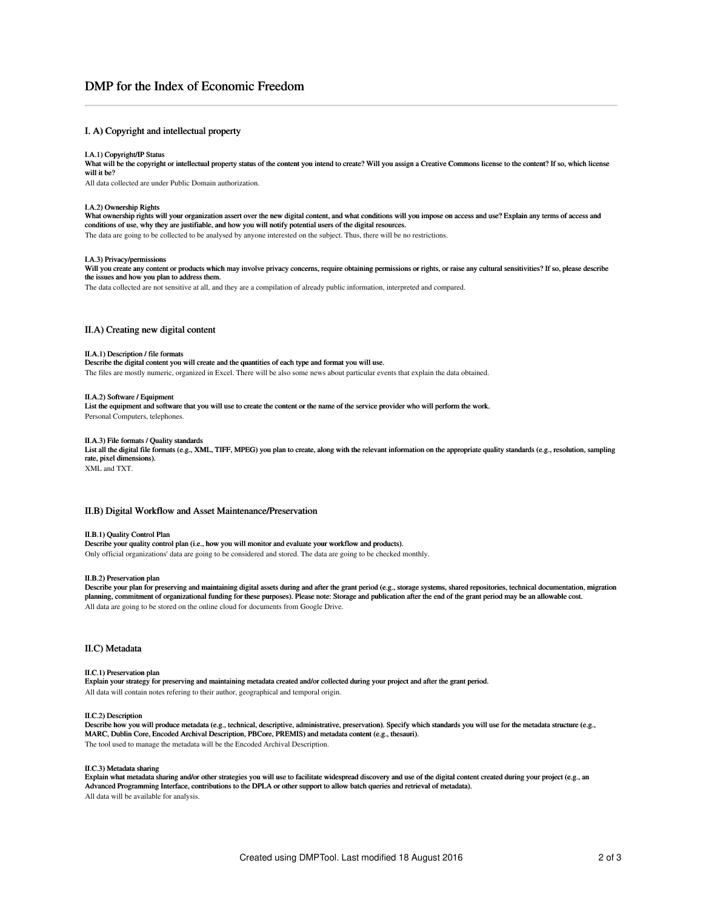# DMP for the Index of Economic Freedom

# I. A) Copyright and intellectual property

### I.A.1) Copyright/IP Status

What will be the copyright or intellectual property status of the content you intend to create? Will you assign a Creative Commons license to the content? If so, which license will it be?

All data collected are under Public Domain authorization.

#### I.A.2) Ownership Rights

What ownership rights will your organization assert over the new digital content, and what conditions will you impose on access and use? Explain any terms of access and conditions of use, why they are justifiable, and how you will notify potential users of the digital resources.

The data are going to be collected to be analysed by anyone interested on the subject. Thus, there will be no restrictions.

#### I.A.3) Privacy/permissions

Will you create any content or products which may involve privacy concerns, require obtaining permissions or rights, or raise any cultural sensitivities? If so, please describe the issues and how you plan to address them.

The data collected are not sensitive at all, and they are a compilation of already public information, interpreted and compared.

# II.A) Creating new digital content

## II.A.1) Description / file formats

Describe the digital content you will create and the quantities of each type and format you will use. The files are mostly numeric, organized in Excel. There will be also some news about particular events that explain the data obtained.

## II.A.2) Software / Equipment

List the equipment and software that you will use to create the content or the name of the service provider who will perform the work. Personal Computers, telephones.

# II.A.3) File formats / Quality standards

List all the digital file formats (e.g., XML, TIFF, MPEG) you plan to create, along with the relevant information on the appropriate quality standards (e.g., resolution, sampling rate, pixel dimensions).

XML and TXT.

# II.B) Digital Workflow and Asset Maintenance/Preservation

## II.B.1) Quality Control Plan

Describe your quality control plan (i.e., how you will monitor and evaluate your workflow and products). Only official organizations' data are going to be considered and stored. The data are going to be checked monthly.

#### II.B.2) Preservation plan

Describe your plan for preserving and maintaining digital assets during and after the grant period (e.g., storage systems, shared repositories, technical documentation, migration planning, commitment of organizational funding for these purposes). Please note: Storage and publication after the end of the grant period may be an allowable cost. All data are going to be stored on the online cloud for documents from Google Drive.

## II.C) Metadata

### II.C.1) Preservation plan

Explain your strategy for preserving and maintaining metadata created and/or collected during your project and after the grant period. All data will contain notes refering to their author, geographical and temporal origin.

#### II.C.2) Description

Describe how you will produce metadata (e.g., technical, descriptive, administrative, preservation). Specify which standards you will use for the metadata structure (e.g., MARC, Dublin Core, Encoded Archival Description, PBCore, PREMIS) and metadata content (e.g., thesauri). The tool used to manage the metadata will be the Encoded Archival Description.

# II.C.3) Metadata sharing

Explain what metadata sharing and/or other strategies you will use to facilitate widespread discovery and use of the digital content created during your project (e.g., an Advanced Programming Interface, contributions to the DPLA or other support to allow batch queries and retrieval of metadata). All data will be available for analysis.